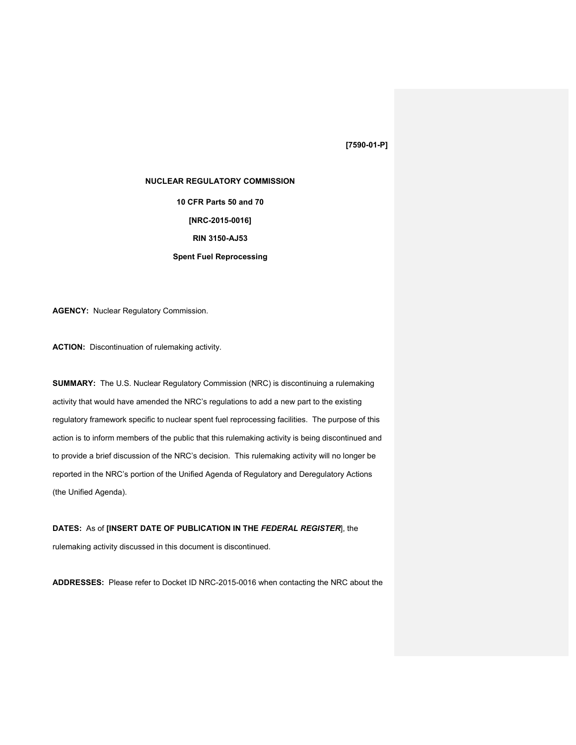# **[7590-01-P]**

#### **NUCLEAR REGULATORY COMMISSION**

**10 CFR Parts 50 and 70 [NRC-2015-0016] RIN 3150-AJ53**

## **Spent Fuel Reprocessing**

**AGENCY:** Nuclear Regulatory Commission.

**ACTION:** Discontinuation of rulemaking activity.

**SUMMARY:** The U.S. Nuclear Regulatory Commission (NRC) is discontinuing a rulemaking activity that would have amended the NRC's regulations to add a new part to the existing regulatory framework specific to nuclear spent fuel reprocessing facilities. The purpose of this action is to inform members of the public that this rulemaking activity is being discontinued and to provide a brief discussion of the NRC's decision. This rulemaking activity will no longer be reported in the NRC's portion of the Unified Agenda of Regulatory and Deregulatory Actions (the Unified Agenda).

### **DATES:** As of **[INSERT DATE OF PUBLICATION IN THE** *FEDERAL REGISTER*], the

rulemaking activity discussed in this document is discontinued.

**ADDRESSES:** Please refer to Docket ID NRC-2015-0016 when contacting the NRC about the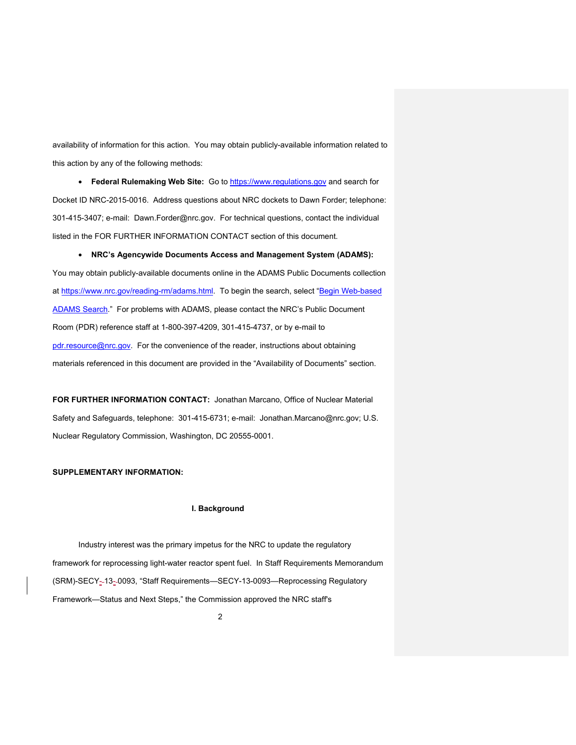availability of information for this action. You may obtain publicly-available information related to this action by any of the following methods:

• **Federal Rulemaking Web Site:** Go to https://www.regulations.gov and search for Docket ID NRC-2015-0016. Address questions about NRC dockets to Dawn Forder; telephone: 301-415-3407; e-mail: Dawn.Forder@nrc.gov. For technical questions, contact the individual listed in the FOR FURTHER INFORMATION CONTACT section of this document.

• **NRC's Agencywide Documents Access and Management System (ADAMS):** You may obtain publicly-available documents online in the ADAMS Public Documents collection at https://www.nrc.gov/reading-rm/adams.html. To begin the search, select "Begin Web-based ADAMS Search." For problems with ADAMS, please contact the NRC's Public Document Room (PDR) reference staff at 1-800-397-4209, 301-415-4737, or by e-mail to pdr.resource@nrc.gov. For the convenience of the reader, instructions about obtaining materials referenced in this document are provided in the "Availability of Documents" section.

**FOR FURTHER INFORMATION CONTACT:** Jonathan Marcano, Office of Nuclear Material Safety and Safeguards, telephone: 301-415-6731; e-mail: Jonathan.Marcano@nrc.gov; U.S. Nuclear Regulatory Commission, Washington, DC 20555-0001.

### **SUPPLEMENTARY INFORMATION:**

#### **I. Background**

Industry interest was the primary impetus for the NRC to update the regulatory framework for reprocessing light-water reactor spent fuel. In Staff Requirements Memorandum (SRM)-SECY- 13- 0093, "Staff Requirements—SECY-13-0093—Reprocessing Regulatory Framework—Status and Next Steps," the Commission approved the NRC staff's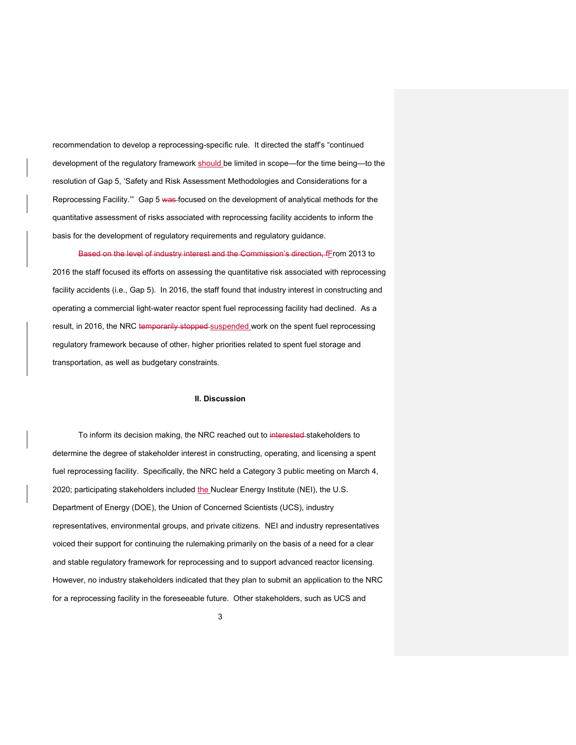recommendation to develop a reprocessing-specific rule. It directed the staff's "continued development of the regulatory framework should be limited in scope—for the time being—to the resolution of Gap 5, 'Safety and Risk Assessment Methodologies and Considerations for a Reprocessing Facility.'" Gap 5 was focused on the development of analytical methods for the quantitative assessment of risks associated with reprocessing facility accidents to inform the basis for the development of regulatory requirements and regulatory guidance.

Based on the level of industry interest and the Commission's direction, fFrom 2013 to 2016 the staff focused its efforts on assessing the quantitative risk associated with reprocessing facility accidents (i.e., Gap 5). In 2016, the staff found that industry interest in constructing and operating a commercial light-water reactor spent fuel reprocessing facility had declined. As a result, in 2016, the NRC temporarily stopped suspended work on the spent fuel reprocessing regulatory framework because of other, higher priorities related to spent fuel storage and transportation, as well as budgetary constraints.

#### **II. Discussion**

To inform its decision making, the NRC reached out to interested-stakeholders to determine the degree of stakeholder interest in constructing, operating, and licensing a spent fuel reprocessing facility. Specifically, the NRC held a Category 3 public meeting on March 4, 2020; participating stakeholders included the Nuclear Energy Institute (NEI), the U.S. Department of Energy (DOE), the Union of Concerned Scientists (UCS), industry representatives, environmental groups, and private citizens. NEI and industry representatives voiced their support for continuing the rulemaking primarily on the basis of a need for a clear and stable regulatory framework for reprocessing and to support advanced reactor licensing. However, no industry stakeholders indicated that they plan to submit an application to the NRC for a reprocessing facility in the foreseeable future. Other stakeholders, such as UCS and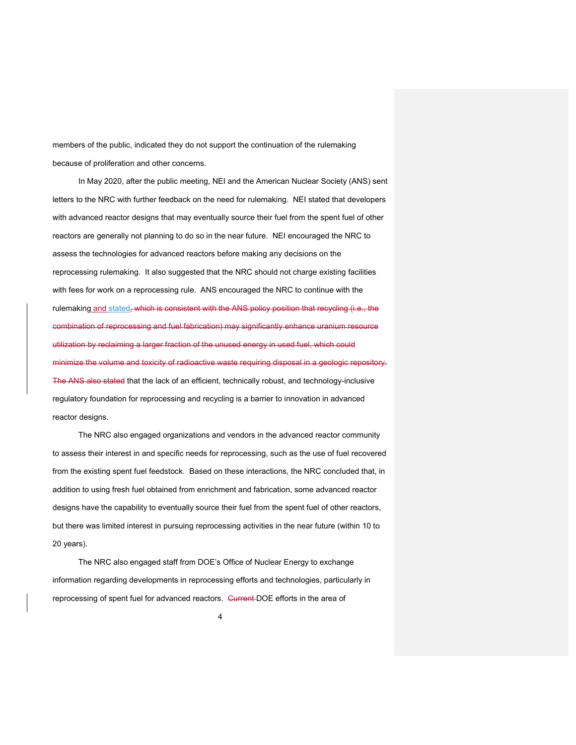members of the public, indicated they do not support the continuation of the rulemaking because of proliferation and other concerns.

In May 2020, after the public meeting, NEI and the American Nuclear Society (ANS) sent letters to the NRC with further feedback on the need for rulemaking. NEI stated that developers with advanced reactor designs that may eventually source their fuel from the spent fuel of other reactors are generally not planning to do so in the near future. NEI encouraged the NRC to assess the technologies for advanced reactors before making any decisions on the reprocessing rulemaking. It also suggested that the NRC should not charge existing facilities with fees for work on a reprocessing rule. ANS encouraged the NRC to continue with the rulemaking and stated, which is consistent with the ANS policy position that recycling (i.e., the combination of reprocessing and fuel fabrication) may significantly enhance uranium resource utilization by reclaiming a larger fraction of the unused energy in used fuel, which could minimize the volume and toxicity of radioactive waste requiring disposal in a geologic repository. The ANS also stated that the lack of an efficient, technically robust, and technology-inclusive regulatory foundation for reprocessing and recycling is a barrier to innovation in advanced reactor designs.

The NRC also engaged organizations and vendors in the advanced reactor community to assess their interest in and specific needs for reprocessing, such as the use of fuel recovered from the existing spent fuel feedstock. Based on these interactions, the NRC concluded that, in addition to using fresh fuel obtained from enrichment and fabrication, some advanced reactor designs have the capability to eventually source their fuel from the spent fuel of other reactors, but there was limited interest in pursuing reprocessing activities in the near future (within 10 to 20 years).

The NRC also engaged staff from DOE's Office of Nuclear Energy to exchange information regarding developments in reprocessing efforts and technologies, particularly in reprocessing of spent fuel for advanced reactors. Current DOE efforts in the area of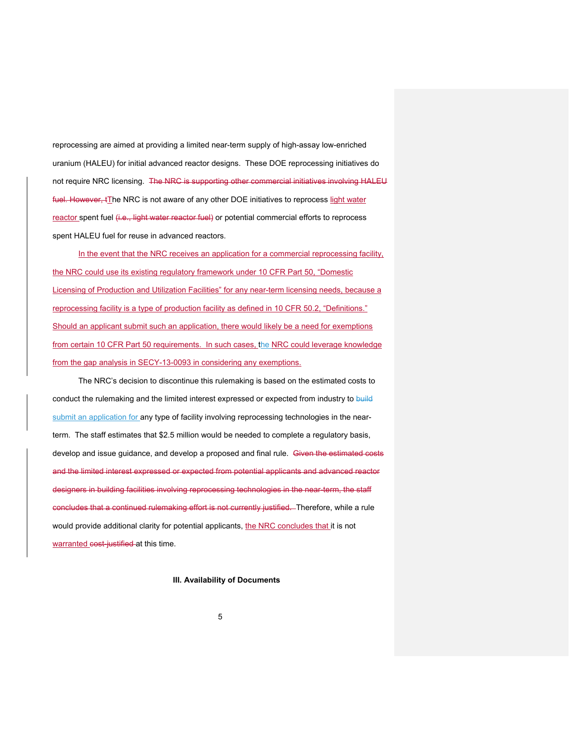reprocessing are aimed at providing a limited near-term supply of high-assay low-enriched uranium (HALEU) for initial advanced reactor designs. These DOE reprocessing initiatives do not require NRC licensing. The NRC is supporting other commercial initiatives involving HALEU fuel. However,  $t$ The NRC is not aware of any other DOE initiatives to reprocess light water reactor spent fuel (i.e., light water reactor fuel) or potential commercial efforts to reprocess spent HALEU fuel for reuse in advanced reactors.

In the event that the NRC receives an application for a commercial reprocessing facility, the NRC could use its existing regulatory framework under 10 CFR Part 50, "Domestic Licensing of Production and Utilization Facilities" for any near-term licensing needs, because a reprocessing facility is a type of production facility as defined in 10 CFR 50.2, "Definitions." Should an applicant submit such an application, there would likely be a need for exemptions from certain 10 CFR Part 50 requirements. In such cases, the NRC could leverage knowledge from the gap analysis in SECY-13-0093 in considering any exemptions.

The NRC's decision to discontinue this rulemaking is based on the estimated costs to conduct the rulemaking and the limited interest expressed or expected from industry to build submit an application for any type of facility involving reprocessing technologies in the nearterm. The staff estimates that \$2.5 million would be needed to complete a regulatory basis, develop and issue guidance, and develop a proposed and final rule. Given the estimated costs and the limited interest expressed or expected from potential applicants and advanced reactor designers in building facilities involving reprocessing technologies in the near-term, the staff concludes that a continued rulemaking effort is not currently justified. Therefore, while a rule would provide additional clarity for potential applicants, the NRC concludes that it is not warranted cost-justified at this time.

**III. Availability of Documents**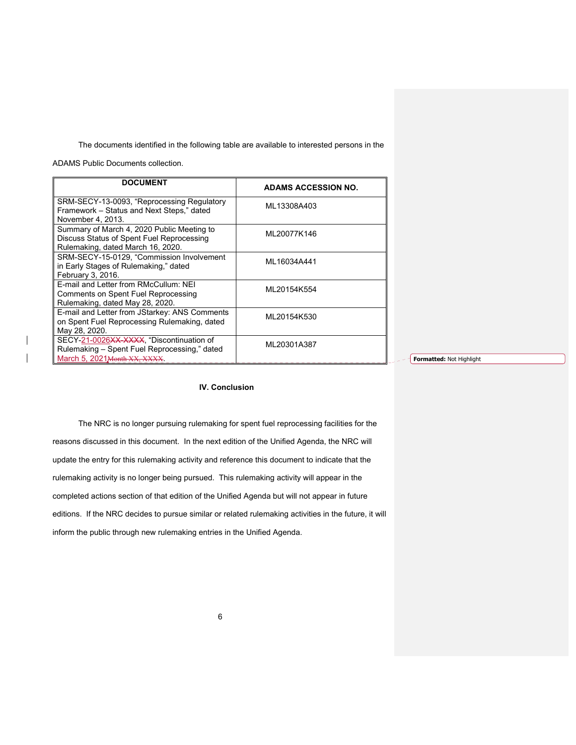The documents identified in the following table are available to interested persons in the

ADAMS Public Documents collection.

| <b>DOCUMENT</b>                                                                                                              | <b>ADAMS ACCESSION NO.</b> |
|------------------------------------------------------------------------------------------------------------------------------|----------------------------|
| SRM-SECY-13-0093, "Reprocessing Regulatory<br>Framework - Status and Next Steps," dated<br>November 4, 2013.                 | ML13308A403                |
| Summary of March 4, 2020 Public Meeting to<br>Discuss Status of Spent Fuel Reprocessing<br>Rulemaking, dated March 16, 2020. | ML20077K146                |
| SRM-SECY-15-0129, "Commission Involvement<br>in Early Stages of Rulemaking," dated<br>February 3, 2016.                      | ML16034A441                |
| E-mail and Letter from RMcCullum: NEI<br><b>Comments on Spent Fuel Reprocessing</b><br>Rulemaking, dated May 28, 2020.       | ML20154K554                |
| E-mail and Letter from JStarkey: ANS Comments<br>on Spent Fuel Reprocessing Rulemaking, dated<br>May 28, 2020.               | ML20154K530                |
| SECY-21-0026XX-XXXX, "Discontinuation of<br>Rulemaking - Spent Fuel Reprocessing," dated<br>March 5, 2021 Month XX, XXXX.    | ML20301A387                |

**Formatted:** Not Highlight

## **IV. Conclusion**

The NRC is no longer pursuing rulemaking for spent fuel reprocessing facilities for the reasons discussed in this document. In the next edition of the Unified Agenda, the NRC will update the entry for this rulemaking activity and reference this document to indicate that the rulemaking activity is no longer being pursued. This rulemaking activity will appear in the completed actions section of that edition of the Unified Agenda but will not appear in future editions. If the NRC decides to pursue similar or related rulemaking activities in the future, it will inform the public through new rulemaking entries in the Unified Agenda.